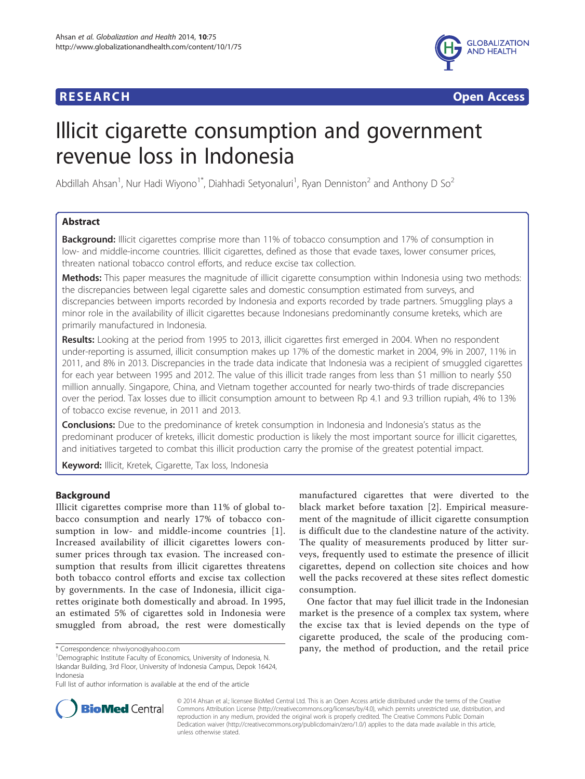## **RESEARCH RESEARCH** *CHECKER CHECKER CHECKER CHECKER CHECKER CHECKER CHECKER CHECKER CHECKER CHECKER CHECKER*



# Illicit cigarette consumption and government revenue loss in Indonesia

Abdillah Ahsan<sup>1</sup>, Nur Hadi Wiyono<sup>1\*</sup>, Diahhadi Setyonaluri<sup>1</sup>, Ryan Denniston<sup>2</sup> and Anthony D So<sup>2</sup>

## Abstract

Background: Illicit cigarettes comprise more than 11% of tobacco consumption and 17% of consumption in low- and middle-income countries. Illicit cigarettes, defined as those that evade taxes, lower consumer prices, threaten national tobacco control efforts, and reduce excise tax collection.

Methods: This paper measures the magnitude of illicit cigarette consumption within Indonesia using two methods: the discrepancies between legal cigarette sales and domestic consumption estimated from surveys, and discrepancies between imports recorded by Indonesia and exports recorded by trade partners. Smuggling plays a minor role in the availability of illicit cigarettes because Indonesians predominantly consume kreteks, which are primarily manufactured in Indonesia.

Results: Looking at the period from 1995 to 2013, illicit cigarettes first emerged in 2004. When no respondent under-reporting is assumed, illicit consumption makes up 17% of the domestic market in 2004, 9% in 2007, 11% in 2011, and 8% in 2013. Discrepancies in the trade data indicate that Indonesia was a recipient of smuggled cigarettes for each year between 1995 and 2012. The value of this illicit trade ranges from less than \$1 million to nearly \$50 million annually. Singapore, China, and Vietnam together accounted for nearly two-thirds of trade discrepancies over the period. Tax losses due to illicit consumption amount to between Rp 4.1 and 9.3 trillion rupiah, 4% to 13% of tobacco excise revenue, in 2011 and 2013.

**Conclusions:** Due to the predominance of kretek consumption in Indonesia and Indonesia's status as the predominant producer of kreteks, illicit domestic production is likely the most important source for illicit cigarettes, and initiatives targeted to combat this illicit production carry the promise of the greatest potential impact.

Keyword: Illicit, Kretek, Cigarette, Tax loss, Indonesia

## Background

Illicit cigarettes comprise more than 11% of global tobacco consumption and nearly 17% of tobacco consumption in low- and middle-income countries [[1](#page-7-0)]. Increased availability of illicit cigarettes lowers consumer prices through tax evasion. The increased consumption that results from illicit cigarettes threatens both tobacco control efforts and excise tax collection by governments. In the case of Indonesia, illicit cigarettes originate both domestically and abroad. In 1995, an estimated 5% of cigarettes sold in Indonesia were smuggled from abroad, the rest were domestically

manufactured cigarettes that were diverted to the black market before taxation [[2](#page-7-0)]. Empirical measurement of the magnitude of illicit cigarette consumption is difficult due to the clandestine nature of the activity. The quality of measurements produced by litter surveys, frequently used to estimate the presence of illicit cigarettes, depend on collection site choices and how well the packs recovered at these sites reflect domestic consumption.

One factor that may fuel illicit trade in the Indonesian market is the presence of a complex tax system, where the excise tax that is levied depends on the type of cigarette produced, the scale of the producing com- \* Correspondence: [nhwiyono@yahoo.com](mailto:nhwiyono@yahoo.com) pany, the method of production, and the retail price <sup>1</sup>



© 2014 Ahsan et al.; licensee BioMed Central Ltd. This is an Open Access article distributed under the terms of the Creative Commons Attribution License [\(http://creativecommons.org/licenses/by/4.0\)](http://creativecommons.org/licenses/by/4.0), which permits unrestricted use, distribution, and reproduction in any medium, provided the original work is properly credited. The Creative Commons Public Domain Dedication waiver [\(http://creativecommons.org/publicdomain/zero/1.0/](http://creativecommons.org/publicdomain/zero/1.0/)) applies to the data made available in this article, unless otherwise stated.

Demographic Institute Faculty of Economics, University of Indonesia, N. Iskandar Building, 3rd Floor, University of Indonesia Campus, Depok 16424, Indonesia

Full list of author information is available at the end of the article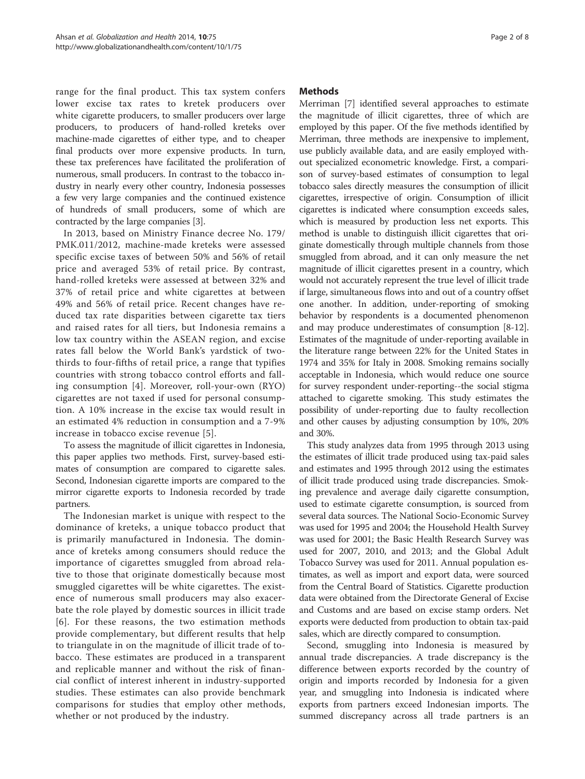range for the final product. This tax system confers lower excise tax rates to kretek producers over white cigarette producers, to smaller producers over large producers, to producers of hand-rolled kreteks over machine-made cigarettes of either type, and to cheaper final products over more expensive products. In turn, these tax preferences have facilitated the proliferation of numerous, small producers. In contrast to the tobacco industry in nearly every other country, Indonesia possesses a few very large companies and the continued existence of hundreds of small producers, some of which are contracted by the large companies [\[3\]](#page-7-0).

In 2013, based on Ministry Finance decree No. 179/ PMK.011/2012, machine-made kreteks were assessed specific excise taxes of between 50% and 56% of retail price and averaged 53% of retail price. By contrast, hand-rolled kreteks were assessed at between 32% and 37% of retail price and white cigarettes at between 49% and 56% of retail price. Recent changes have reduced tax rate disparities between cigarette tax tiers and raised rates for all tiers, but Indonesia remains a low tax country within the ASEAN region, and excise rates fall below the World Bank's yardstick of twothirds to four-fifths of retail price, a range that typifies countries with strong tobacco control efforts and falling consumption [[4\]](#page-7-0). Moreover, roll-your-own (RYO) cigarettes are not taxed if used for personal consumption. A 10% increase in the excise tax would result in an estimated 4% reduction in consumption and a 7-9% increase in tobacco excise revenue [[5\]](#page-7-0).

To assess the magnitude of illicit cigarettes in Indonesia, this paper applies two methods. First, survey-based estimates of consumption are compared to cigarette sales. Second, Indonesian cigarette imports are compared to the mirror cigarette exports to Indonesia recorded by trade partners.

The Indonesian market is unique with respect to the dominance of kreteks, a unique tobacco product that is primarily manufactured in Indonesia. The dominance of kreteks among consumers should reduce the importance of cigarettes smuggled from abroad relative to those that originate domestically because most smuggled cigarettes will be white cigarettes. The existence of numerous small producers may also exacerbate the role played by domestic sources in illicit trade [[6](#page-7-0)]. For these reasons, the two estimation methods provide complementary, but different results that help to triangulate in on the magnitude of illicit trade of tobacco. These estimates are produced in a transparent and replicable manner and without the risk of financial conflict of interest inherent in industry-supported studies. These estimates can also provide benchmark comparisons for studies that employ other methods, whether or not produced by the industry.

## Methods

Merriman [[7\]](#page-7-0) identified several approaches to estimate the magnitude of illicit cigarettes, three of which are employed by this paper. Of the five methods identified by Merriman, three methods are inexpensive to implement, use publicly available data, and are easily employed without specialized econometric knowledge. First, a comparison of survey-based estimates of consumption to legal tobacco sales directly measures the consumption of illicit cigarettes, irrespective of origin. Consumption of illicit cigarettes is indicated where consumption exceeds sales, which is measured by production less net exports. This method is unable to distinguish illicit cigarettes that originate domestically through multiple channels from those smuggled from abroad, and it can only measure the net magnitude of illicit cigarettes present in a country, which would not accurately represent the true level of illicit trade if large, simultaneous flows into and out of a country offset one another. In addition, under-reporting of smoking behavior by respondents is a documented phenomenon and may produce underestimates of consumption [\[8](#page-7-0)-[12](#page-7-0)]. Estimates of the magnitude of under-reporting available in the literature range between 22% for the United States in 1974 and 35% for Italy in 2008. Smoking remains socially acceptable in Indonesia, which would reduce one source for survey respondent under-reporting--the social stigma attached to cigarette smoking. This study estimates the possibility of under-reporting due to faulty recollection and other causes by adjusting consumption by 10%, 20% and 30%.

This study analyzes data from 1995 through 2013 using the estimates of illicit trade produced using tax-paid sales and estimates and 1995 through 2012 using the estimates of illicit trade produced using trade discrepancies. Smoking prevalence and average daily cigarette consumption, used to estimate cigarette consumption, is sourced from several data sources. The National Socio-Economic Survey was used for 1995 and 2004; the Household Health Survey was used for 2001; the Basic Health Research Survey was used for 2007, 2010, and 2013; and the Global Adult Tobacco Survey was used for 2011. Annual population estimates, as well as import and export data, were sourced from the Central Board of Statistics. Cigarette production data were obtained from the Directorate General of Excise and Customs and are based on excise stamp orders. Net exports were deducted from production to obtain tax-paid sales, which are directly compared to consumption.

Second, smuggling into Indonesia is measured by annual trade discrepancies. A trade discrepancy is the difference between exports recorded by the country of origin and imports recorded by Indonesia for a given year, and smuggling into Indonesia is indicated where exports from partners exceed Indonesian imports. The summed discrepancy across all trade partners is an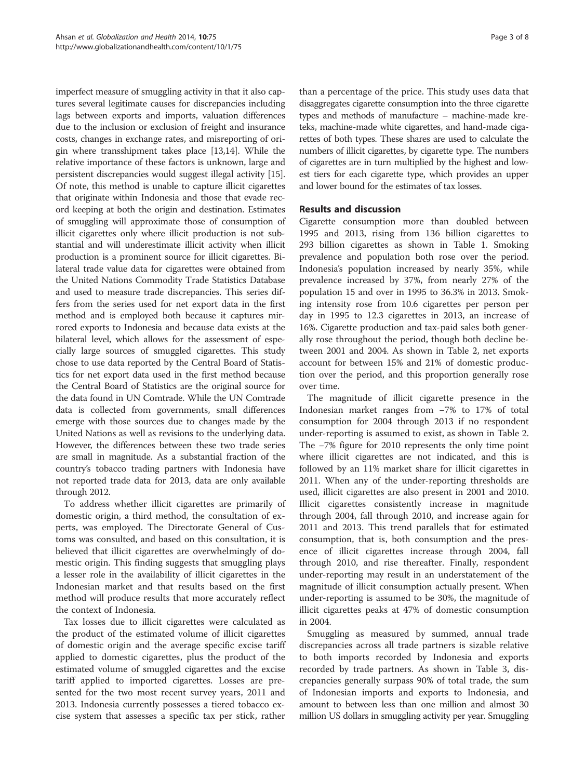imperfect measure of smuggling activity in that it also captures several legitimate causes for discrepancies including lags between exports and imports, valuation differences due to the inclusion or exclusion of freight and insurance costs, changes in exchange rates, and misreporting of origin where transshipment takes place [[13,14](#page-7-0)]. While the relative importance of these factors is unknown, large and persistent discrepancies would suggest illegal activity [[15](#page-7-0)]. Of note, this method is unable to capture illicit cigarettes that originate within Indonesia and those that evade record keeping at both the origin and destination. Estimates of smuggling will approximate those of consumption of illicit cigarettes only where illicit production is not substantial and will underestimate illicit activity when illicit production is a prominent source for illicit cigarettes. Bilateral trade value data for cigarettes were obtained from the United Nations Commodity Trade Statistics Database and used to measure trade discrepancies. This series differs from the series used for net export data in the first method and is employed both because it captures mirrored exports to Indonesia and because data exists at the bilateral level, which allows for the assessment of especially large sources of smuggled cigarettes. This study chose to use data reported by the Central Board of Statistics for net export data used in the first method because the Central Board of Statistics are the original source for the data found in UN Comtrade. While the UN Comtrade data is collected from governments, small differences emerge with those sources due to changes made by the United Nations as well as revisions to the underlying data. However, the differences between these two trade series are small in magnitude. As a substantial fraction of the country's tobacco trading partners with Indonesia have not reported trade data for 2013, data are only available through 2012.

To address whether illicit cigarettes are primarily of domestic origin, a third method, the consultation of experts, was employed. The Directorate General of Customs was consulted, and based on this consultation, it is believed that illicit cigarettes are overwhelmingly of domestic origin. This finding suggests that smuggling plays a lesser role in the availability of illicit cigarettes in the Indonesian market and that results based on the first method will produce results that more accurately reflect the context of Indonesia.

Tax losses due to illicit cigarettes were calculated as the product of the estimated volume of illicit cigarettes of domestic origin and the average specific excise tariff applied to domestic cigarettes, plus the product of the estimated volume of smuggled cigarettes and the excise tariff applied to imported cigarettes. Losses are presented for the two most recent survey years, 2011 and 2013. Indonesia currently possesses a tiered tobacco excise system that assesses a specific tax per stick, rather

than a percentage of the price. This study uses data that disaggregates cigarette consumption into the three cigarette types and methods of manufacture – machine-made kreteks, machine-made white cigarettes, and hand-made cigarettes of both types. These shares are used to calculate the numbers of illicit cigarettes, by cigarette type. The numbers of cigarettes are in turn multiplied by the highest and lowest tiers for each cigarette type, which provides an upper and lower bound for the estimates of tax losses.

## Results and discussion

Cigarette consumption more than doubled between 1995 and 2013, rising from 136 billion cigarettes to 293 billion cigarettes as shown in Table [1.](#page-3-0) Smoking prevalence and population both rose over the period. Indonesia's population increased by nearly 35%, while prevalence increased by 37%, from nearly 27% of the population 15 and over in 1995 to 36.3% in 2013. Smoking intensity rose from 10.6 cigarettes per person per day in 1995 to 12.3 cigarettes in 2013, an increase of 16%. Cigarette production and tax-paid sales both generally rose throughout the period, though both decline between 2001 and 2004. As shown in Table [2](#page-3-0), net exports account for between 15% and 21% of domestic production over the period, and this proportion generally rose over time.

The magnitude of illicit cigarette presence in the Indonesian market ranges from −7% to 17% of total consumption for 2004 through 2013 if no respondent under-reporting is assumed to exist, as shown in Table [2](#page-3-0). The −7% figure for 2010 represents the only time point where illicit cigarettes are not indicated, and this is followed by an 11% market share for illicit cigarettes in 2011. When any of the under-reporting thresholds are used, illicit cigarettes are also present in 2001 and 2010. Illicit cigarettes consistently increase in magnitude through 2004, fall through 2010, and increase again for 2011 and 2013. This trend parallels that for estimated consumption, that is, both consumption and the presence of illicit cigarettes increase through 2004, fall through 2010, and rise thereafter. Finally, respondent under-reporting may result in an understatement of the magnitude of illicit consumption actually present. When under-reporting is assumed to be 30%, the magnitude of illicit cigarettes peaks at 47% of domestic consumption in 2004.

Smuggling as measured by summed, annual trade discrepancies across all trade partners is sizable relative to both imports recorded by Indonesia and exports recorded by trade partners. As shown in Table [3,](#page-4-0) discrepancies generally surpass 90% of total trade, the sum of Indonesian imports and exports to Indonesia, and amount to between less than one million and almost 30 million US dollars in smuggling activity per year. Smuggling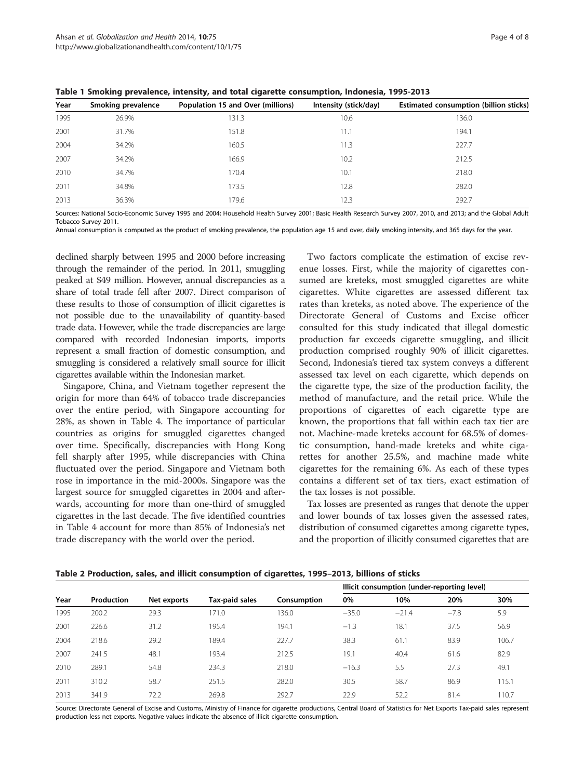| Year                   | Smoking prevalence | Population 15 and Over (millions) | Intensity (stick/day) | <b>Estimated consumption (billion sticks)</b> |  |  |
|------------------------|--------------------|-----------------------------------|-----------------------|-----------------------------------------------|--|--|
| 1995                   | 26.9%              | 131.3                             | 10.6                  | 136.0                                         |  |  |
| 2001<br>31.7%<br>151.8 |                    |                                   | 11.1                  | 194.1                                         |  |  |
| 2004                   | 34.2%              | 160.5                             | 11.3                  | 227.7                                         |  |  |
| 2007                   | 34.2%              | 166.9                             | 10.2                  | 212.5                                         |  |  |
| 2010                   | 34.7%              | 170.4                             | 10.1                  | 218.0                                         |  |  |
| 2011                   | 34.8%              | 173.5                             | 12.8                  | 282.0                                         |  |  |
| 2013                   | 36.3%              | 179.6                             | 12.3                  | 292.7                                         |  |  |

<span id="page-3-0"></span>Table 1 Smoking prevalence, intensity, and total cigarette consumption, Indonesia, 1995-2013

Sources: National Socio-Economic Survey 1995 and 2004; Household Health Survey 2001; Basic Health Research Survey 2007, 2010, and 2013; and the Global Adult Tobacco Survey 2011.

Annual consumption is computed as the product of smoking prevalence, the population age 15 and over, daily smoking intensity, and 365 days for the year.

declined sharply between 1995 and 2000 before increasing through the remainder of the period. In 2011, smuggling peaked at \$49 million. However, annual discrepancies as a share of total trade fell after 2007. Direct comparison of these results to those of consumption of illicit cigarettes is not possible due to the unavailability of quantity-based trade data. However, while the trade discrepancies are large compared with recorded Indonesian imports, imports represent a small fraction of domestic consumption, and smuggling is considered a relatively small source for illicit cigarettes available within the Indonesian market.

Singapore, China, and Vietnam together represent the origin for more than 64% of tobacco trade discrepancies over the entire period, with Singapore accounting for 28%, as shown in Table [4.](#page-4-0) The importance of particular countries as origins for smuggled cigarettes changed over time. Specifically, discrepancies with Hong Kong fell sharply after 1995, while discrepancies with China fluctuated over the period. Singapore and Vietnam both rose in importance in the mid-2000s. Singapore was the largest source for smuggled cigarettes in 2004 and afterwards, accounting for more than one-third of smuggled cigarettes in the last decade. The five identified countries in Table [4](#page-4-0) account for more than 85% of Indonesia's net trade discrepancy with the world over the period.

Two factors complicate the estimation of excise revenue losses. First, while the majority of cigarettes consumed are kreteks, most smuggled cigarettes are white cigarettes. White cigarettes are assessed different tax rates than kreteks, as noted above. The experience of the Directorate General of Customs and Excise officer consulted for this study indicated that illegal domestic production far exceeds cigarette smuggling, and illicit production comprised roughly 90% of illicit cigarettes. Second, Indonesia's tiered tax system conveys a different assessed tax level on each cigarette, which depends on the cigarette type, the size of the production facility, the method of manufacture, and the retail price. While the proportions of cigarettes of each cigarette type are known, the proportions that fall within each tax tier are not. Machine-made kreteks account for 68.5% of domestic consumption, hand-made kreteks and white cigarettes for another 25.5%, and machine made white cigarettes for the remaining 6%. As each of these types contains a different set of tax tiers, exact estimation of the tax losses is not possible.

Tax losses are presented as ranges that denote the upper and lower bounds of tax losses given the assessed rates, distribution of consumed cigarettes among cigarette types, and the proportion of illicitly consumed cigarettes that are

|      |            | Net exports | Tax-paid sales | Consumption | Illicit consumption (under-reporting level) |         |        |       |
|------|------------|-------------|----------------|-------------|---------------------------------------------|---------|--------|-------|
| Year | Production |             |                |             | 0%                                          | 10%     | 20%    | 30%   |
| 1995 | 200.2      | 29.3        | 71.0           | 136.0       | $-35.0$                                     | $-21.4$ | $-7.8$ | 5.9   |
| 2001 | 226.6      | 31.2        | 195.4          | 194.1       | $-1.3$                                      | 18.1    | 37.5   | 56.9  |
| 2004 | 218.6      | 29.2        | 189.4          | 227.7       | 38.3                                        | 61.1    | 83.9   | 106.7 |
| 2007 | 241.5      | 48.1        | 193.4          | 212.5       | 19.1                                        | 40.4    | 61.6   | 82.9  |
| 2010 | 289.1      | 54.8        | 234.3          | 218.0       | $-16.3$                                     | 5.5     | 27.3   | 49.1  |
| 2011 | 310.2      | 58.7        | 251.5          | 282.0       | 30.5                                        | 58.7    | 86.9   | 115.1 |
| 2013 | 341.9      | 72.2        | 269.8          | 292.7       | 22.9                                        | 52.2    | 81.4   | 110.7 |

Table 2 Production, sales, and illicit consumption of cigarettes, 1995–2013, billions of sticks

Source: Directorate General of Excise and Customs, Ministry of Finance for cigarette productions, Central Board of Statistics for Net Exports Tax-paid sales represent production less net exports. Negative values indicate the absence of illicit cigarette consumption.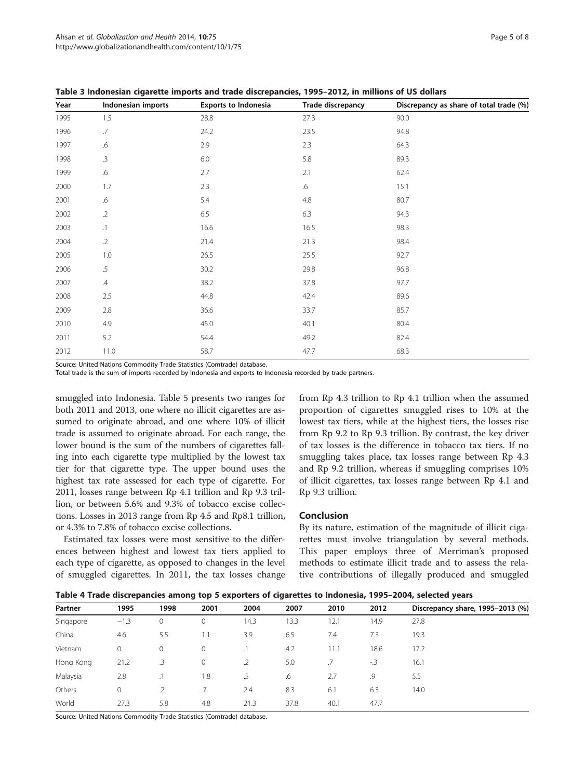| Year | Indonesian imports | <b>Exports to Indonesia</b> | Trade discrepancy | Discrepancy as share of total trade (%) |  |  |
|------|--------------------|-----------------------------|-------------------|-----------------------------------------|--|--|
| 1995 | 1.5                | 28.8                        | 27.3              | 90.0                                    |  |  |
| 1996 | $\cdot$            | 24.2                        | 23.5              | 94.8                                    |  |  |
| 1997 | .6                 | 2.9                         | 2.3               | 64.3                                    |  |  |
| 1998 | .3                 | 6.0                         | 5.8               | 89.3                                    |  |  |
| 1999 | .6                 | 2.7                         | 2.1               | 62.4                                    |  |  |
| 2000 | 1.7                | 2.3                         | 6.6               | 15.1                                    |  |  |
| 2001 | $.6\,$             | 5.4                         | 4.8               | 80.7                                    |  |  |
| 2002 | $.2\,$             | 6.5                         | 6.3               | 94.3                                    |  |  |
| 2003 | $\cdot$ 1          | 16.6                        | 16.5              | 98.3                                    |  |  |
| 2004 | .2                 | 21.4                        | 21.3              | 98.4                                    |  |  |
| 2005 | 1.0                | 26.5                        | 25.5              | 92.7                                    |  |  |
| 2006 | $.5\,$<br>30.2     |                             | 29.8              | 96.8                                    |  |  |
| 2007 | $\mathcal{A}$      | 38.2                        | 37.8              | 97.7                                    |  |  |
| 2008 | 2.5<br>44.8        |                             | 42.4              | 89.6                                    |  |  |
| 2009 | 2.8                | 36.6                        | 33.7              | 85.7                                    |  |  |
| 2010 | 4.9                | 45.0                        | 40.1              | 80.4                                    |  |  |
| 2011 | 5.2                | 54.4                        | 49.2              | 82.4                                    |  |  |
| 2012 | 11.0               | 58.7                        | 47.7              | 68.3                                    |  |  |

<span id="page-4-0"></span>Table 3 Indonesian cigarette imports and trade discrepancies, 1995–2012, in millions of US dollars

Source: United Nations Commodity Trade Statistics (Comtrade) database.

Total trade is the sum of imports recorded by Indonesia and exports to Indonesia recorded by trade partners.

smuggled into Indonesia. Table [5](#page-5-0) presents two ranges for both 2011 and 2013, one where no illicit cigarettes are assumed to originate abroad, and one where 10% of illicit trade is assumed to originate abroad. For each range, the lower bound is the sum of the numbers of cigarettes falling into each cigarette type multiplied by the lowest tax tier for that cigarette type. The upper bound uses the highest tax rate assessed for each type of cigarette. For 2011, losses range between Rp 4.1 trillion and Rp 9.3 trillion, or between 5.6% and 9.3% of tobacco excise collections. Losses in 2013 range from Rp 4.5 and Rp8.1 trillion, or 4.3% to 7.8% of tobacco excise collections.

Estimated tax losses were most sensitive to the differences between highest and lowest tax tiers applied to each type of cigarette, as opposed to changes in the level of smuggled cigarettes. In 2011, the tax losses change

from Rp 4.3 trillion to Rp 4.1 trillion when the assumed proportion of cigarettes smuggled rises to 10% at the lowest tax tiers, while at the highest tiers, the losses rise from Rp 9.2 to Rp 9.3 trillion. By contrast, the key driver of tax losses is the difference in tobacco tax tiers. If no smuggling takes place, tax losses range between Rp 4.3 and Rp 9.2 trillion, whereas if smuggling comprises 10% of illicit cigarettes, tax losses range between Rp 4.1 and Rp 9.3 trillion.

### Conclusion

By its nature, estimation of the magnitude of illicit cigarettes must involve triangulation by several methods. This paper employs three of Merriman's proposed methods to estimate illicit trade and to assess the relative contributions of illegally produced and smuggled

Table 4 Trade discrepancies among top 5 exporters of cigarettes to Indonesia, 1995–2004, selected years

| Partner   | 1995   | 1998         | 2001         | 2004 | 2007 | 2010 | 2012 | Discrepancy share, 1995-2013 (%) |
|-----------|--------|--------------|--------------|------|------|------|------|----------------------------------|
| Singapore | $-1.3$ |              | 0            | 14.3 | 13.3 | 12.1 | 14.9 | 27.8                             |
| China     | 4.6    | 5.5          | 1.1          | 3.9  | 6.5  | 7.4  | 7.3  | 19.3                             |
| Vietnam   | 0      | $\mathbf{0}$ | $\mathbf{0}$ |      | 4.2  | 11.1 | 18.6 | 17.2                             |
| Hong Kong | 21.2   | $\cdot$ 3    | $\mathbf 0$  | .2   | 5.0  |      | $-3$ | 16.1                             |
| Malaysia  | 2.8    |              | 1.8          | .5   | .6   | 2.7  | 9.   | 5.5                              |
| Others    | 0      |              |              | 2.4  | 8.3  | 6.1  | 6.3  | 14.0                             |
| World     | 27.3   | 5.8          | 4.8          | 21.3 | 37.8 | 40.1 | 47.7 |                                  |

Source: United Nations Commodity Trade Statistics (Comtrade) database.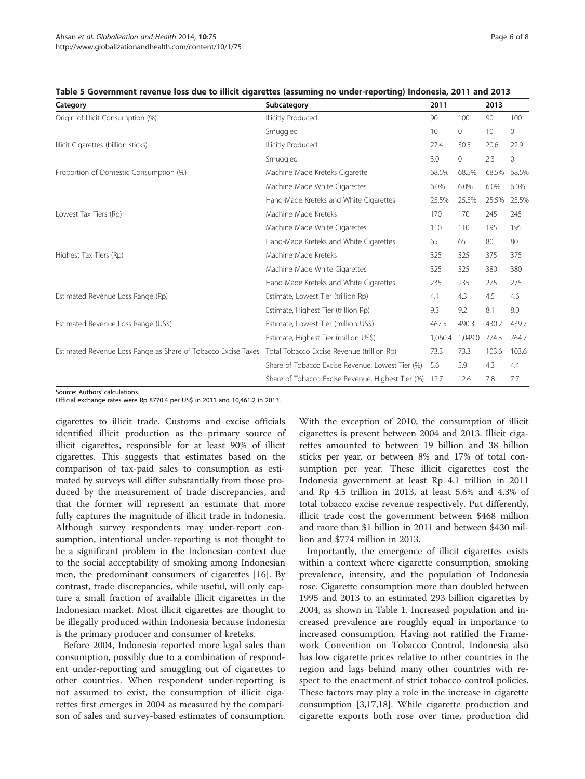| Category                                                                                                 | Subcategory                                       | 2011    |         | 2013  |              |
|----------------------------------------------------------------------------------------------------------|---------------------------------------------------|---------|---------|-------|--------------|
| Origin of Illicit Consumption (%)                                                                        | Illicitly Produced                                | 90      | 100     | 90    | 100          |
|                                                                                                          | Smuggled                                          | 10      | 0       | 10    | $\mathbf{0}$ |
| Illicit Cigarettes (billion sticks)                                                                      | Illicitly Produced                                | 27.4    | 30.5    | 20.6  | 22.9         |
|                                                                                                          | Smuggled                                          | 3.0     | 0       | 2.3   | 0            |
| Proportion of Domestic Consumption (%)                                                                   | Machine Made Kreteks Cigarette                    | 68.5%   | 68.5%   | 68.5% | 68.5%        |
|                                                                                                          | Machine Made White Cigarettes                     | 6.0%    | 6.0%    | 6.0%  | 6.0%         |
|                                                                                                          | Hand-Made Kreteks and White Cigarettes            | 25.5%   | 25.5%   | 25.5% | 25.5%        |
| Lowest Tax Tiers (Rp)                                                                                    | Machine Made Kreteks                              | 170     | 170     | 245   | 245          |
|                                                                                                          | Machine Made White Cigarettes                     | 110     | 110     | 195   | 195          |
|                                                                                                          | Hand-Made Kreteks and White Cigarettes            | 65      | 65      | 80    | 80           |
| Highest Tax Tiers (Rp)                                                                                   | Machine Made Kreteks                              | 325     | 325     | 375   | 375          |
|                                                                                                          | Machine Made White Cigarettes                     | 325     | 325     | 380   | 380          |
|                                                                                                          | Hand-Made Kreteks and White Cigarettes            | 235     | 235     | 275   | 275          |
| Estimated Revenue Loss Range (Rp)                                                                        | Estimate, Lowest Tier (trillion Rp)               | 4.1     | 4.3     | 4.5   | 4.6          |
|                                                                                                          | Estimate, Highest Tier (trillion Rp)              | 9.3     | 9.2     | 8.1   | 8.0          |
| Estimated Revenue Loss Range (US\$)                                                                      | Estimate, Lowest Tier (million US\$)              | 467.5   | 490.3   | 430.2 | 439.7        |
|                                                                                                          | Estimate, Highest Tier (million US\$)             | 1,060.4 | 1,049.0 | 774.3 | 764.7        |
| Estimated Revenue Loss Range as Share of Tobacco Excise Taxes Total Tobacco Excise Revenue (trillion Rp) |                                                   | 73.3    | 73.3    | 103.6 | 103.6        |
|                                                                                                          | Share of Tobacco Excise Revenue, Lowest Tier (%)  | 5.6     | 5.9     | 4.3   | 4.4          |
|                                                                                                          | Share of Tobacco Excise Revenue, Highest Tier (%) | 12.7    | 12.6    | 7.8   | 7.7          |

<span id="page-5-0"></span>

|  | Table 5 Government revenue loss due to illicit cigarettes (assuming no under-reporting) Indonesia, 2011 and 2013 |
|--|------------------------------------------------------------------------------------------------------------------|
|--|------------------------------------------------------------------------------------------------------------------|

Source: Authors' calculations.

Official exchange rates were Rp 8770.4 per US\$ in 2011 and 10,461.2 in 2013.

cigarettes to illicit trade. Customs and excise officials identified illicit production as the primary source of illicit cigarettes, responsible for at least 90% of illicit cigarettes. This suggests that estimates based on the comparison of tax-paid sales to consumption as estimated by surveys will differ substantially from those produced by the measurement of trade discrepancies, and that the former will represent an estimate that more fully captures the magnitude of illicit trade in Indonesia. Although survey respondents may under-report consumption, intentional under-reporting is not thought to be a significant problem in the Indonesian context due to the social acceptability of smoking among Indonesian men, the predominant consumers of cigarettes [\[16\]](#page-7-0). By contrast, trade discrepancies, while useful, will only capture a small fraction of available illicit cigarettes in the Indonesian market. Most illicit cigarettes are thought to be illegally produced within Indonesia because Indonesia is the primary producer and consumer of kreteks.

Before 2004, Indonesia reported more legal sales than consumption, possibly due to a combination of respondent under-reporting and smuggling out of cigarettes to other countries. When respondent under-reporting is not assumed to exist, the consumption of illicit cigarettes first emerges in 2004 as measured by the comparison of sales and survey-based estimates of consumption.

With the exception of 2010, the consumption of illicit cigarettes is present between 2004 and 2013. Illicit cigarettes amounted to between 19 billion and 38 billion sticks per year, or between 8% and 17% of total consumption per year. These illicit cigarettes cost the Indonesia government at least Rp 4.1 trillion in 2011 and Rp 4.5 trillion in 2013, at least 5.6% and 4.3% of total tobacco excise revenue respectively. Put differently, illicit trade cost the government between \$468 million and more than \$1 billion in 2011 and between \$430 million and \$774 million in 2013.

Importantly, the emergence of illicit cigarettes exists within a context where cigarette consumption, smoking prevalence, intensity, and the population of Indonesia rose. Cigarette consumption more than doubled between 1995 and 2013 to an estimated 293 billion cigarettes by 2004, as shown in Table [1](#page-3-0). Increased population and increased prevalence are roughly equal in importance to increased consumption. Having not ratified the Framework Convention on Tobacco Control, Indonesia also has low cigarette prices relative to other countries in the region and lags behind many other countries with respect to the enactment of strict tobacco control policies. These factors may play a role in the increase in cigarette consumption [\[3,17,18\]](#page-7-0). While cigarette production and cigarette exports both rose over time, production did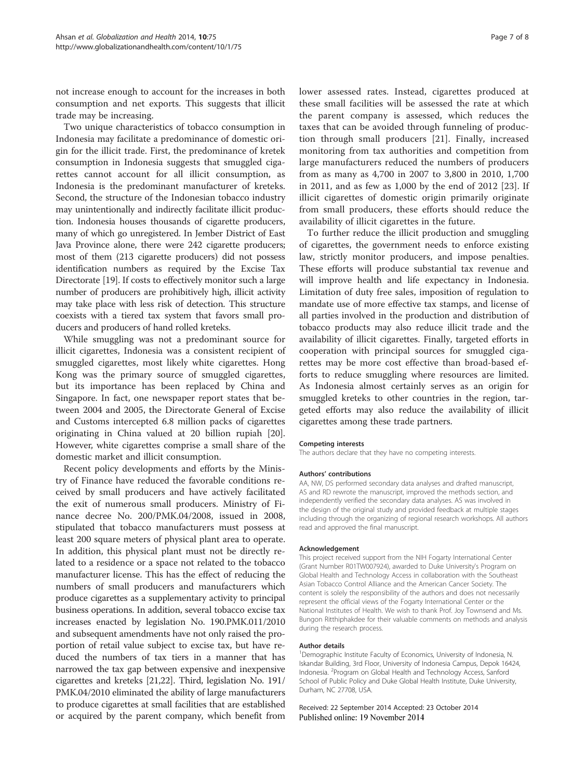not increase enough to account for the increases in both consumption and net exports. This suggests that illicit trade may be increasing.

Two unique characteristics of tobacco consumption in Indonesia may facilitate a predominance of domestic origin for the illicit trade. First, the predominance of kretek consumption in Indonesia suggests that smuggled cigarettes cannot account for all illicit consumption, as Indonesia is the predominant manufacturer of kreteks. Second, the structure of the Indonesian tobacco industry may unintentionally and indirectly facilitate illicit production. Indonesia houses thousands of cigarette producers, many of which go unregistered. In Jember District of East Java Province alone, there were 242 cigarette producers; most of them (213 cigarette producers) did not possess identification numbers as required by the Excise Tax Directorate [\[19](#page-7-0)]. If costs to effectively monitor such a large number of producers are prohibitively high, illicit activity may take place with less risk of detection. This structure coexists with a tiered tax system that favors small producers and producers of hand rolled kreteks.

While smuggling was not a predominant source for illicit cigarettes, Indonesia was a consistent recipient of smuggled cigarettes, most likely white cigarettes. Hong Kong was the primary source of smuggled cigarettes, but its importance has been replaced by China and Singapore. In fact, one newspaper report states that between 2004 and 2005, the Directorate General of Excise and Customs intercepted 6.8 million packs of cigarettes originating in China valued at 20 billion rupiah [\[20](#page-7-0)]. However, white cigarettes comprise a small share of the domestic market and illicit consumption.

Recent policy developments and efforts by the Ministry of Finance have reduced the favorable conditions received by small producers and have actively facilitated the exit of numerous small producers. Ministry of Finance decree No. 200/PMK.04/2008, issued in 2008, stipulated that tobacco manufacturers must possess at least 200 square meters of physical plant area to operate. In addition, this physical plant must not be directly related to a residence or a space not related to the tobacco manufacturer license. This has the effect of reducing the numbers of small producers and manufacturers which produce cigarettes as a supplementary activity to principal business operations. In addition, several tobacco excise tax increases enacted by legislation No. 190.PMK.011/2010 and subsequent amendments have not only raised the proportion of retail value subject to excise tax, but have reduced the numbers of tax tiers in a manner that has narrowed the tax gap between expensive and inexpensive cigarettes and kreteks [\[21,22](#page-7-0)]. Third, legislation No. 191/ PMK.04/2010 eliminated the ability of large manufacturers to produce cigarettes at small facilities that are established or acquired by the parent company, which benefit from

lower assessed rates. Instead, cigarettes produced at these small facilities will be assessed the rate at which the parent company is assessed, which reduces the taxes that can be avoided through funneling of production through small producers [\[21](#page-7-0)]. Finally, increased monitoring from tax authorities and competition from large manufacturers reduced the numbers of producers from as many as 4,700 in 2007 to 3,800 in 2010, 1,700 in 2011, and as few as 1,000 by the end of 2012 [[23\]](#page-7-0). If illicit cigarettes of domestic origin primarily originate from small producers, these efforts should reduce the availability of illicit cigarettes in the future.

To further reduce the illicit production and smuggling of cigarettes, the government needs to enforce existing law, strictly monitor producers, and impose penalties. These efforts will produce substantial tax revenue and will improve health and life expectancy in Indonesia. Limitation of duty free sales, imposition of regulation to mandate use of more effective tax stamps, and license of all parties involved in the production and distribution of tobacco products may also reduce illicit trade and the availability of illicit cigarettes. Finally, targeted efforts in cooperation with principal sources for smuggled cigarettes may be more cost effective than broad-based efforts to reduce smuggling where resources are limited. As Indonesia almost certainly serves as an origin for smuggled kreteks to other countries in the region, targeted efforts may also reduce the availability of illicit cigarettes among these trade partners.

#### Competing interests

The authors declare that they have no competing interests.

#### Authors' contributions

AA, NW, DS performed secondary data analyses and drafted manuscript, AS and RD rewrote the manuscript, improved the methods section, and independently verified the secondary data analyses. AS was involved in the design of the original study and provided feedback at multiple stages including through the organizing of regional research workshops. All authors read and approved the final manuscript.

#### Acknowledgement

This project received support from the NIH Fogarty International Center (Grant Number R01TW007924), awarded to Duke University's Program on Global Health and Technology Access in collaboration with the Southeast Asian Tobacco Control Alliance and the American Cancer Society. The content is solely the responsibility of the authors and does not necessarily represent the official views of the Fogarty International Center or the National Institutes of Health. We wish to thank Prof. Joy Townsend and Ms. Bungon Ritthiphakdee for their valuable comments on methods and analysis during the research process.

#### Author details

<sup>1</sup> Demographic Institute Faculty of Economics, University of Indonesia, N. Iskandar Building, 3rd Floor, University of Indonesia Campus, Depok 16424, Indonesia. <sup>2</sup> Program on Global Health and Technology Access, Sanford School of Public Policy and Duke Global Health Institute, Duke University, Durham, NC 27708, USA.

Received: 22 September 2014 Accepted: 23 October 2014 Published online: 19 November 2014